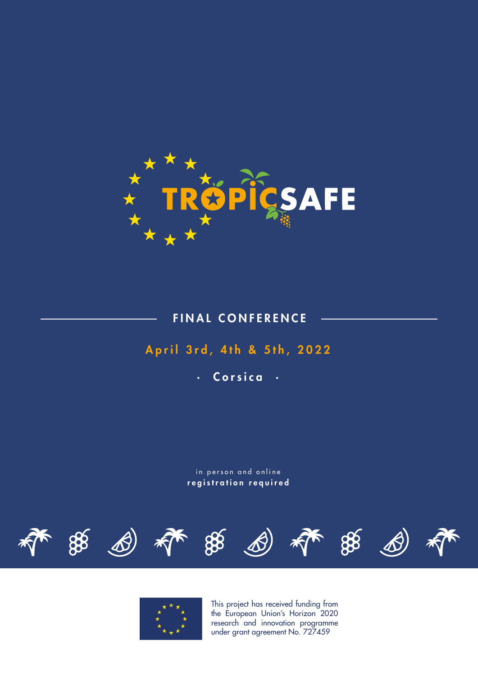

FINAL CONFERENCE

## April 3rd, 4th & 5th, 2022

· Corsica ·

in person and online registration required





This project has received funding from the European Union's Horizon 2020 research and innovation programme under grant agreement No. 727459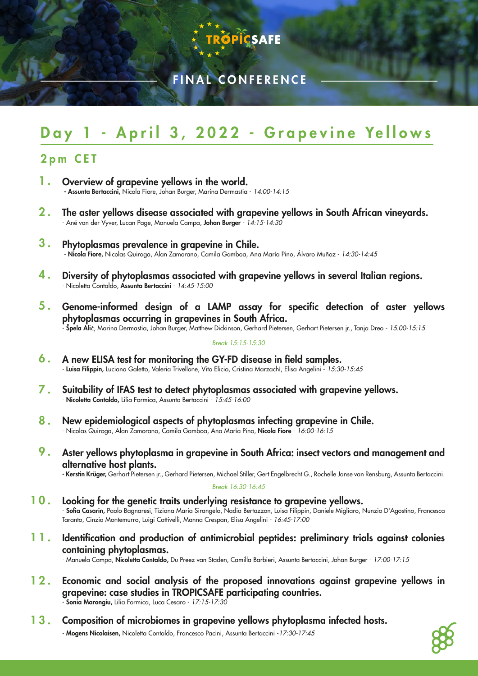

## FINAL CONFERENCE

# Day 1 - April 3, 2022 - Grapevine Yellows

## 2pm CET

- 1 . Overview of grapevine yellows in the world. - Assunta Bertaccini, Nicola Fiore, Johan Burger, Marina Dermastia - *14:00-14:15*
- $2.$ The aster yellows disease associated with grapevine yellows in South African vineyards. - Ané van der Vyver, Lucan Page, Manuela Campa, Johan Burger - *14:15-14:30*
- 3 . Phytoplasmas prevalence in grapevine in Chile. - Nicola Fiore, Nicolas Quiroga, Alan Zamorano, Camila Gamboa, Ana María Pino, Álvaro Muñoz - *14:30-14:45*
- 4 . Diversity of phytoplasmas associated with grapevine yellows in several Italian regions. - Nicoletta Contaldo, Assunta Bertaccini - *14:45-15:00*
- $5.$ Genome-informed design of a LAMP assay for specific detection of aster yellows phytoplasmas occurring in grapevines in South Africa. - Špela Alič, Marina Dermastia, Johan Burger, Matthew Dickinson, Gerhard Pietersen, Gerhart Pietersen jr., Tanja Dreo - *15.00-15:15*

## *Break 15:15-15:30*

- 6 . A new ELISA test for monitoring the GY-FD disease in field samples. - Luisa Filippin, Luciana Galetto, Valeria Trivellone, Vito Elicio, Cristina Marzachì, Elisa Angelini - *15:30-15:45*
- $7$  . Suitability of IFAS test to detect phytoplasmas associated with grapevine yellows. - Nicoletta Contaldo, Lilia Formica, Assunta Bertaccini - *15:45-16:00*
- 8. New epidemiological aspects of phytoplasmas infecting grapevine in Chile. - Nicolas Quiroga, Alan Zamorano, Camila Gamboa, Ana María Pino, Nicola Fiore - *16:00-16:15*
- **9** . Aster yellows phytoplasma in grapevine in South Africa: insect vectors and management and alternative host plants.

- Kerstin Krüger, Gerhart Pietersen jr., Gerhard Pietersen, Michael Stiller, Gert Engelbrecht G., Rochelle Janse van Rensburg, Assunta Bertaccini.

## *Break 16:30-16:45*

- 10. Looking for the genetic traits underlying resistance to grapevine yellows. - Sofia Casarin, Paolo Bagnaresi, Tiziana Maria Sirangelo, Nadia Bertazzon, Luisa Filippin, Daniele Migliaro, Nunzio D'Agostino, Francesca Taranto, Cinzia Montemurro, Luigi Cattivelli, Manna Crespan, Elisa Angelini - *16:45-17:00*
- 11. Identification and production of antimicrobial peptides: preliminary trials against colonies containing phytoplasmas.

- Manuela Campa, Nicoletta Contaldo, Du Preez van Staden, Camilla Barbieri, Assunta Bertaccini, Johan Burger - *17:00-17:15*

- 12. Economic and social analysis of the proposed innovations against grapevine yellows in grapevine: case studies in TROPICSAFE participating countries. - Sonia Marongiu, Lilia Formica, Luca Cesaro - *17:15-17:30*
- Composition of microbiomes in grapevine yellows phytoplasma infected hosts. - Mogens Nicolaisen, Nicoletta Contaldo, Francesco Pacini, Assunta Bertaccini -*17:30-17:45* 13.

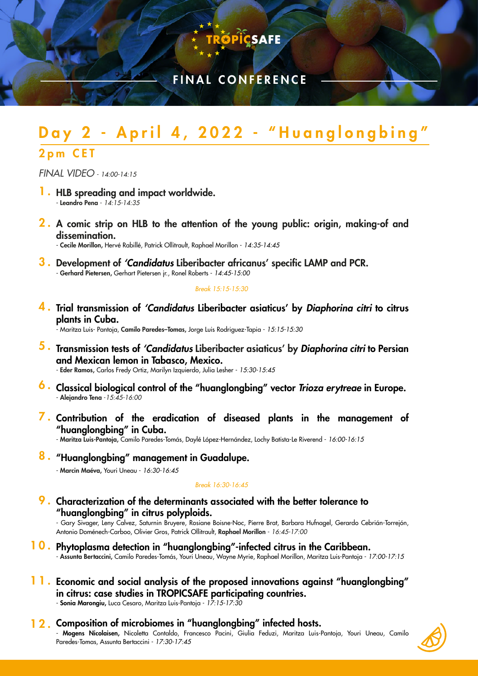

**ÖPIÇSAFE** 

# ay 2 - April 4, 2022 - "Huanglongbing" 2pm CET

*FINAL VIDEO* - *14:00-14:15*

- 1. HLB spreading and impact worldwide. - Leandro Pena - *14:15-14:35*
- 2. A comic strip on HLB to the attention of the young public: origin, making-of and dissemination.

- Cecile Morillon, Hervé Rabillé, Patrick Ollitrault, Raphael Morillon - *14:35-14:45*

3. Development of *'Candidatus* Liberibacter africanus' specific LAMP and PCR. - Gerhard Pietersen, Gerhart Pietersen jr., Ronel Roberts - *14:45-15:00*

### *Break 15:15-15:30*

4 . Trial transmission of *'Candidatus* Liberibacter asiaticus' by *Diaphorina citri* to citrus plants in Cuba.

- Maritza Luis- Pantoja, Camilo Paredes–Tomas, Jorge Luis Rodriguez-Tapia - *15:15-15:30*

5 . Transmission tests of *'Candidatus* Liberibacter asiaticus' by *Diaphorina citri* to Persian and Mexican lemon in Tabasco, Mexico.

- Eder Ramos, Carlos Fredy Ortiz, Marilyn Izquierdo, Julia Lesher - *15:30-15:45*

- 6 . Classical biological control of the "huanglongbing" vector *Trioza erytreae* in Europe. - Alejandro Tena -*15:45-16:00*
- **7.** Contribution of the eradication of diseased plants in the management of "huanglongbing" in Cuba.

- Maritza Luis-Pantoja, Camilo Paredes-Tomás, Daylé López-Hernández, Lochy Batista-Le Riverend - *16:00-16:15*

## 8. "Huanglongbing" management in Guadalupe.

- Marcin Maéva, Youri Uneau - *16:30-16:45*

### *Break 16:30-16:45*

**9**. Characterization of the determinants associated with the better tolerance to "huanglongbing" in citrus polyploids.

- Gary Sivager, Leny Calvez, Saturnin Bruyere, Rosiane Boisne-Noc, Pierre Brat, Barbara Hufnagel, Gerardo Cebrián-Torrejón, Antonio Doménech-Carboo, Olivier Gros, Patrick Ollitrault, Raphael Morillon - *16:45-17:00*

- 10. Phytoplasma detection in "huanglongbing"-infected citrus in the Caribbean. - Assunta Bertaccini, Camilo Paredes-Tomás, Youri Uneau, Wayne Myrie, Raphael Morillon, Maritza Luis-Pantoja - *17:00-17:15*
- 11. Economic and social analysis of the proposed innovations against "huanglongbing" in citrus: case studies in TROPICSAFE participating countries. - Sonia Marongiu, Luca Cesaro, Maritza Luis-Pantoja - *17:15-17:30*
- 12. Composition of microbiomes in "huanglongbing" infected hosts. - Mogens Nicolaisen, Nicoletta Contaldo, Francesco Pacini, Giulia Feduzi, Maritza Luis-Pantoja, Youri Uneau, Camilo Paredes-Tomas, Assunta Bertaccini - *17:30-17:45*